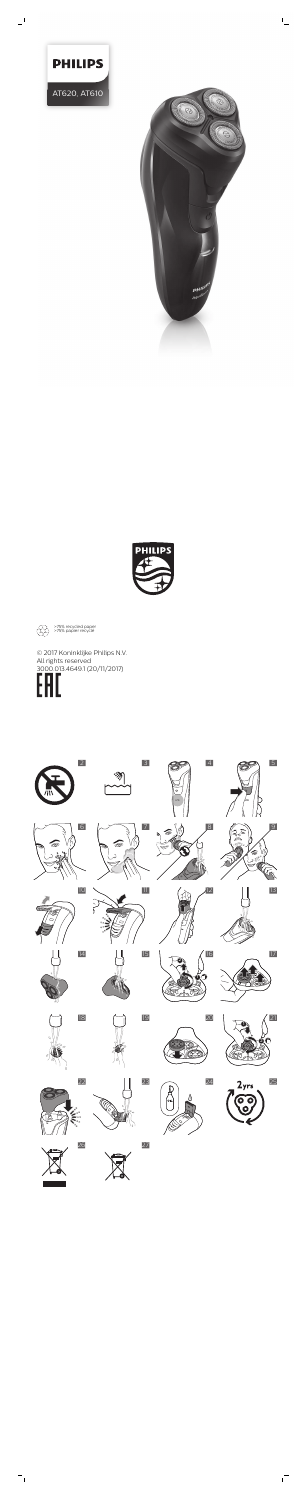

AT620, AT610

**PHILIPS** 





 $\beta$ 





्छ।

 $\widehat{\circ}$ 



























 $\overline{1}$ 



26 27

>75% recycled paper >75% papier recyclé





 $\frac{1}{2}$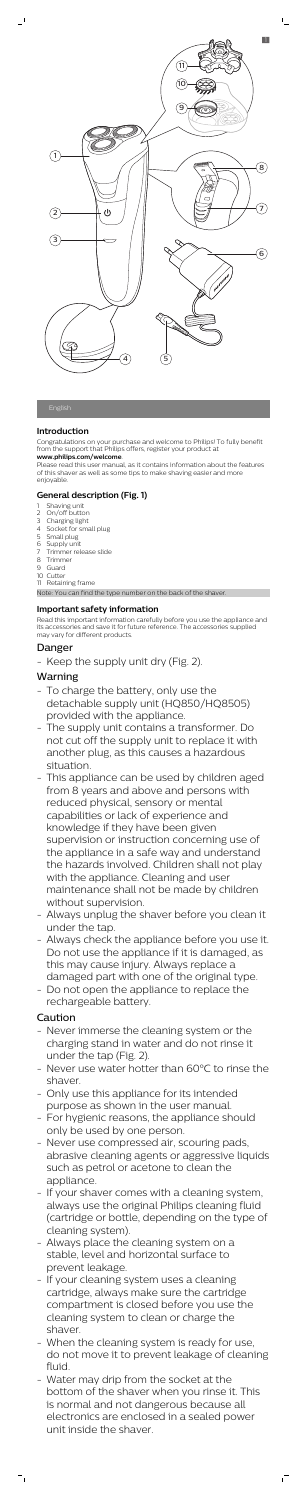# **Introduction**

Congratulations on your purchase and welcome to Philips! To fully benefit from the support that Philips offers, register your product at

#### **www.philips.com/welcome**.

Please read this user manual, as it contains information about the features of this shaver as well as some tips to make shaving easier and more enjoyable.

- Shaving unit
- 2 On/off button
- 3 Charging light
- 4 Socket for small plug
- 5 Small plug
- 6 Supply unit
- 7 Trimmer release slide
- 8 Trimmer
- 9 Guard
- 10 Cutter
- 11 Retaining frame

# **General description (Fig. 1)**

Note: You can find the type number on the back of the shaver.

# **Important safety information**

Read this important information carefully before you use the appliance and its accessories and save it for future reference. The accessories supplied may vary for different products.

# Danger

Keep the supply unit dry (Fig. 2).

# Warning

- This appliance can be used by children aged from 8 years and above and persons with reduced physical, sensory or mental capabilities or lack of experience and knowledge if they have been given supervision or instruction concerning use of the appliance in a safe way and understand the hazards involved. Children shall not play with the appliance. Cleaning and user maintenance shall not be made by children without supervision.
- Always unplug the shaver before you clean it under the tap.
- Always check the appliance before you use it. Do not use the appliance if it is damaged, as this may cause injury. Always replace a damaged part with one of the original type.
- Do not open the appliance to replace the rechargeable battery.
- To charge the battery, only use the detachable supply unit (HQ850/HQ8505) provided with the appliance.
- The supply unit contains a transformer. Do not cut off the supply unit to replace it with another plug, as this causes a hazardous situation.

# Caution

- Never immerse the cleaning system or the charging stand in water and do not rinse it under the tap (Fig. 2).
- Never use water hotter than 60°C to rinse the shaver.
- Only use this appliance for its intended purpose as shown in the user manual.
- For hygienic reasons, the appliance should only be used by one person.
- Never use compressed air, scouring pads, abrasive cleaning agents or aggressive liquids such as petrol or acetone to clean the appliance.
- If your shaver comes with a cleaning system, always use the original Philips cleaning fluid (cartridge or bottle, depending on the type of cleaning system).
- Always place the cleaning system on a stable, level and horizontal surface to prevent leakage.
- If your cleaning system uses a cleaning cartridge, always make sure the cartridge compartment is closed before you use the cleaning system to clean or charge the shaver.
- When the cleaning system is ready for use, do not move it to prevent leakage of cleaning fluid.
- Water may drip from the socket at the bottom of the shaver when you rinse it. This is normal and not dangerous because all electronics are enclosed in a sealed power unit inside the shaver.

 $^{-}$ 



L

 $\overline{\phantom{a}}$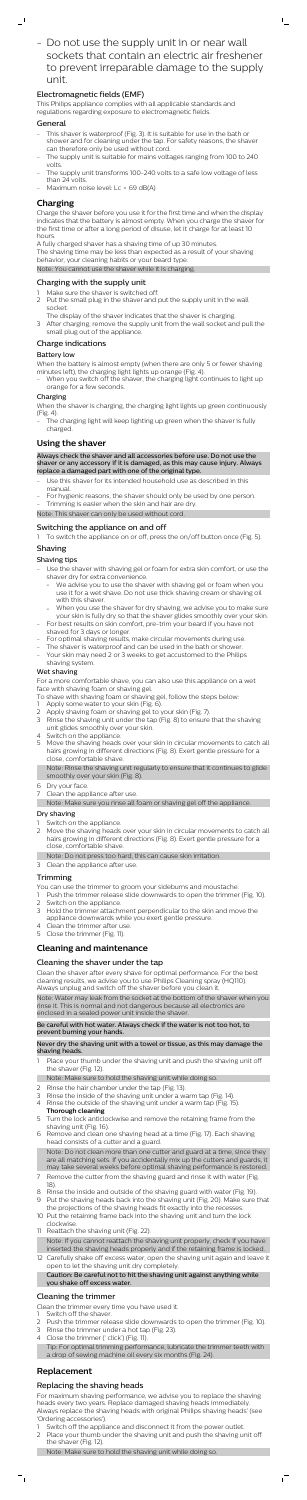- Do not use the supply unit in or near wall sockets that contain an electric air freshener to prevent irreparable damage to the supply unit.

 $\mathbb{L}$ 

# Electromagnetic fields (EMF)

This Philips appliance complies with all applicable standards and regulations regarding exposure to electromagnetic fields.

## General

 $\mathbf{I}$ 

- This shaver is waterproof (Fig. 3). It is suitable for use in the bath or shower and for cleaning under the tap. For safety reasons, the shaver can therefore only be used without cord.
- The supply unit is suitable for mains voltages ranging from 100 to 240 volts.
- The supply unit transforms 100-240 volts to a safe low voltage of less than 24 volts.
- Maximum noise level: Lc = 69 dB(A)

# **Charging**

- Make sure the shaver is switched off.
- 2 Put the small plug in the shaver and put the supply unit in the wall socket.
- The display of the shaver indicates that the shaver is charging.
- 3 After charging, remove the supply unit from the wall socket and pull the small plug out of the appliance.

Charge the shaver before you use it for the first time and when the display indicates that the battery is almost empty. When you charge the shaver for the first time or after a long period of disuse, let it charge for at least 10 hours.

When you switch off the shaver, the charging light continues to light up orange for a few seconds.

A fully charged shaver has a shaving time of up 30 minutes.

The charging light will keep lighting up green when the shaver is fully charged.

The shaving time may be less than expected as a result of your shaving behavior, your cleaning habits or your beard type.

Note: You cannot use the shaver while it is charging.

# Charging with the supply unit

# Charge indications

## Battery low

When the battery is almost empty (when there are only 5 or fewer shaving minutes left), the charging light lights up orange (Fig. 4).

- Use the shaver with shaving gel or foam for extra skin comfort, or use the shaver dry for extra convenience.
	- We advise you to use the shaver with shaving gel or foam when you use it for a wet shave. Do not use thick shaving cream or shaving oil with this shaver
	- When you use the shaver for dry shaving, we advise you to make sure your skin is fully dry so that the shaver glides smoothly over your skin.
- For best results on skin comfort, pre-trim your beard if you have not shaved for 3 days or longer.
- For optimal shaving results, make circular movements during use.
- The shaver is waterproof and can be used in the bath or shower.
- Your skin may need 2 or 3 weeks to get accustomed to the Philips shaving system.

#### Charging

When the shaver is charging, the charging light lights up green continuously (Fig. 4).

Note: Rinse the shaving unit regularly to ensure that it continues to glide hly over your ski

# **Using the shaver**

Always check the shaver and all accessories before use. Do not use the shaver or any accessory if it is damaged, as this may cause injury. Always replace a damaged part with one of the original type.

- Use this shaver for its intended household use as described in this manual.
- For hygienic reasons, the shaver should only be used by one person.
- Trimming is easier when the skin and hair are dry.

- Switch on the appliance.
- 2 Move the shaving heads over your skin in circular movements to catch all hairs growing in different directions (Fig. 8). Exert gentle pressure for a close, comfortable shave.
- Note: Do not press too hard, this can cause skin irritation.
- 3 Clean the appliance after use.

Note: This shaver can only be used without cord.

# Switching the appliance on and off

To switch the appliance on or off, press the on/off button once (Fig. 5).

# Shaving

# Shaving tips

- Place your thumb under the shaving unit and push the shaving unit off the shaver (Fig. 12).
- Note: Make sure to hold the shaving unit while doing so.
- 2 Rinse the hair chamber under the tap (Fig. 13).
- 3 Rinse the inside of the shaving unit under a warm tap (Fig. 14).
- 4 Rinse the outside of the shaving unit under a warm tap (Fig. 15).
- **Thorough cleaning**
- 5 Turn the lock anticlockwise and remove the retaining frame from the shaving unit (Fig. 16).
- 6 Remove and clean one shaving head at a time (Fig. 17). Each shaving head consists of a cutter and a guard.

## Wet shaving

For a more comfortable shave, you can also use this appliance on a wet face with shaving foam or shaving gel.

- To shave with shaving foam or shaving gel, follow the steps below:
- Apply some water to your skin (Fig. 6).
- Apply shaving foam or shaving gel to your skin (Fig. 7).
- 3 Rinse the shaving unit under the tap (Fig. 8) to ensure that the shaving unit glides smoothly over your skin.
- 4 Switch on the appliance.
- 5 Move the shaving heads over your skin in circular movements to catch all hairs growing in different directions (Fig. 8). Exert gentle pressure for a close, comfortable shave.

- Switch off the shaver.
- 2 Push the trimmer release slide downwards to open the trimmer (Fig. 10).
- Rinse the trimmer under a hot tap (Fig. 23).
- 4 Close the trimmer (' click') (Fig. 11).
- Tip: For optimal trimming performance, lubricate the trimmer teeth with a drop of sewing machine oil every six months (Fig. 24).

Switch off the appliance and disconnect it from the power outlet. 2 Place your thumb under the shaving unit and push the shaving unit off the shaver (Fig. 12).

 $^{-}$ 

- 
- 6 Dry your face.
- 7 Clean the appliance after use.
- Note: Make sure you rinse all foam or shaving gel off the appliance.

#### Dry shaving

### Trimming

You can use the trimmer to groom your sideburns and moustache.

- 1 Push the trimmer release slide downwards to open the trimmer (Fig. 10). 2 Switch on the appliance.
- 
- 3 Hold the trimmer attachment perpendicular to the skin and move the appliance downwards while you exert gentle pressure.
- 4 Clean the trimmer after use. 5 Close the trimmer (Fig. 11).

# **Cleaning and maintenance**

# Cleaning the shaver under the tap

Clean the shaver after every shave for optimal performance. For the best cleaning results, we advise you to use Philips Cleaning spray (HQ110). Always unplug and switch off the shaver before you clean it.

Note: Water may leak from the socket at the bottom of the shaver when you rinse it. This is normal and not dangerous because all electronics are

enclosed in a sealed power unit inside the shaver.

Be careful with hot water. Always check if the water is not too hot, to prevent burning your hands.

Never dry the shaving unit with a towel or tissue, as this may damage the shaving heads.

Note: Do not clean more than one cutter and guard at a time, since they are all matching sets. If you accidentally mix up the cutters and guards, it may take several weeks before optimal shaving performance is restored.

- 7 Remove the cutter from the shaving guard and rinse it with water (Fig. 18).
- 8 Rinse the inside and outside of the shaving guard with water (Fig. 19).
- 9 Put the shaving heads back into the shaving unit (Fig. 20). Make sure that the projections of the shaving heads fit exactly into the recesses
- 10 Put the retaining frame back into the shaving unit and turn the lock clockwise.
- 11 Reattach the shaving unit (Fig. 22).
- Note: If you cannot reattach the shaving unit properly, check if you have inserted the shaving heads properly and if the retaining frame is locked.

12 Carefully shake off excess water, open the shaving unit again and leave it open to let the shaving unit dry completely. Caution: Be careful not to hit the shaving unit against anything while you shake off excess water.

### Cleaning the trimmer

Clean the trimmer every time you have used it.

# **Replacement**

# Replacing the shaving heads

For maximum shaving performance, we advise you to replace the shaving heads every two years. Replace damaged shaving heads immediately. Always replace the shaving heads with original Philips shaving heads' (see 'Ordering accessories').

Note: Make sure to hold the shaving unit while doing so.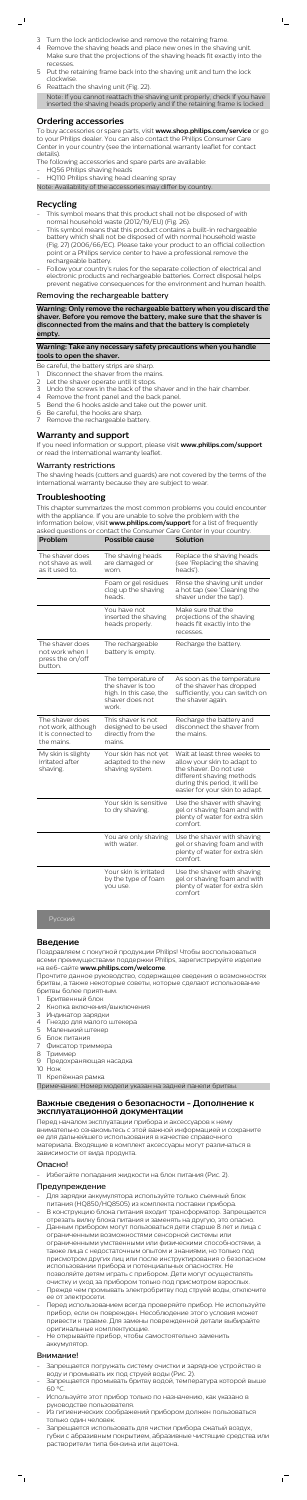- 3 Turn the lock anticlockwise and remove the retaining frame.
- 4 Remove the shaving heads and place new ones in the shaving unit. Make sure that the projections of the shaving heads fit exactly into the recesses.

 $\mathbb{L}$ 

- 5 Put the retaining frame back into the shaving unit and turn the lock clockwise.
- 6 Reattach the shaving unit (Fig. 22). Note: If you cannot reattach the shaving unit properly, check if you have inserted the shaving heads properly and if the retaining frame is locked

# **Ordering accessories**

To buy accessories or spare parts, visit **www.shop.philips.com/service** or go to your Philips dealer. You can also contact the Philips Consumer Care Center in your country (see the international warranty leaflet for contact details).

- This symbol means that this product shall not be disposed of with normal household waste (2012/19/EU) (Fig. 26).
- This symbol means that this product contains a built-in rechargeable battery which shall not be disposed of with normal household waste (Fig. 27) (2006/66/EC). Please take your product to an official collection point or a Philips service center to have a professional remove the rechargeable battery.
- Follow your country's rules for the separate collection of electrical and electronic products and rechargeable batteries. Correct disposal helps prevent negative consequences for the environment and human health.
- The following accessories and spare parts are available:
- HQ56 Philips shaving heads
- HQ110 Philips shaving head cleaning spray

Note: Availability of the accessories may differ by country.

# **Recycling**

 $\overline{\phantom{a}}$ 

#### Removing the rechargeable battery

**Warning: Only remove the rechargeable battery when you discard the shaver. Before you remove the battery, make sure that the shaver is disconnected from the mains and that the battery is completely empty.**

#### **Warning: Take any necessary safety precautions when you handle tools to open the shaver.**

Be careful, the battery strips are sharp.

- Disconnect the shaver from the mains.
- 2 Let the shaver operate until it stops.
- Undo the screws in the back of the shaver and in the hair chamber.
- 4 Remove the front panel and the back panel.<br>5 Rend the 6 hooks aside and take out the pow
- 5 Bend the 6 hooks aside and take out the power unit.
- 6 Be careful, the hooks are sharp.
- Remove the rechargeable battery.

#### **Warranty and support**

If you need information or support, please visit **www.philips.com/support** or read the international warranty leaflet.

#### Warranty restrictions

The shaving heads (cutters and guards) are not covered by the terms of the international warranty because they are subject to wear.

# **Troubleshooting**

This chapter summarizes the most common problems you could encounter with the appliance. If you are unable to solve the problem with the information below, visit **www.philips.com/support** for a list of frequently

| asked questions or contact the Consumer Care Center in your country.      |                                                                                                |                                                                                                                 |  |
|---------------------------------------------------------------------------|------------------------------------------------------------------------------------------------|-----------------------------------------------------------------------------------------------------------------|--|
| Problem                                                                   | Possible cause                                                                                 | Solution                                                                                                        |  |
| The shaver does<br>not shave as well<br>as it used to.                    | The shaving heads<br>are damaged or<br>worn.                                                   | Replace the shaving heads<br>(see 'Replacing the shaving<br>heads').                                            |  |
|                                                                           | Foam or gel residues<br>clog up the shaving<br>heads.                                          | Rinse the shaving unit under<br>a hot tap (see 'Cleaning the<br>shaver under the tap').                         |  |
|                                                                           | You have not<br>inserted the shaving<br>heads properly.                                        | Make sure that the<br>projections of the shaving<br>heads fit exactly into the<br>recesses.                     |  |
| The shaver does<br>not work when I<br>press the on/off<br>button.         | The rechargeable<br>battery is empty.                                                          | Recharge the battery.                                                                                           |  |
|                                                                           | The temperature of<br>the shaver is too<br>high. In this case, the<br>shaver does not<br>work. | As soon as the temperature<br>of the shaver has dropped<br>sufficiently, you can switch on<br>the shaver again. |  |
| The shaver does<br>not work, although<br>it is connected to<br>the mains. | This shaver is not<br>designed to be used<br>directly from the<br>mains.                       | Recharge the battery and<br>disconnect the shaver from<br>the mains.                                            |  |
| My skin is slighty<br>irritated after<br>shaving.                         | Your skin has not yet<br>adapted to the new<br>shaving system.                                 | Wait at least three weeks to<br>allow your skin to adapt to<br>the shaver. Do not use                           |  |

different shaving methods

|                                                           | during this period, it will be<br>easier for your skin to adapt.                                          |
|-----------------------------------------------------------|-----------------------------------------------------------------------------------------------------------|
| Your skin is sensitive<br>to dry shaving.                 | Use the shaver with shaving<br>gel or shaving foam and with<br>plenty of water for extra skin<br>comfort. |
| You are only shaving<br>with water.                       | Use the shaver with shaving<br>gel or shaving foam and with<br>plenty of water for extra skin<br>comfort. |
| Your skin is irritated<br>by the type of foam<br>you use. | Use the shaver with shaving<br>gel or shaving foam and with<br>plenty of water for extra skin<br>comfort  |

### **Введение**

Поздравляем с покупкой продукции Philips! Чтобы воспользоваться всеми преимуществами поддержки Philips, зарегистрируйте изделие на веб-сайте **www.philips.com/welcome**.

Прочтите данное руководство, содержащее сведения о возможностях бритвы, а также некоторые советы, которые сделают использование бритвы более приятным.

- 1 Бритвенный блок
- 2 Кнопка включения/выключения
- 3 Индикатор зарядки
- 4 Гнездо для малого штекера
- 5 Маленький штекер
- 6 Блок питания
- 7 Фиксатор триммера
- 8 Триммер
- 9 Предохраняющая насадка
- 10 Нож
- 11 Крепёжная рамка

Примечание. Номер модели указан на задней панели бритвы.

### **Важные сведения о безопасности - Дополнение к эксплуатационной документации**

Перед началом эксплуатации прибора и аксессуаров к нему внимательно ознакомьтесь с этой важной информацией и сохраните ее для дальнейшего использования в качестве справочного материала. Входящие в комплект аксессуары могут различаться в зависимости от вида продукта.

#### Опасно!

Избегайте попадания жидкости на блок питания (Рис. 2).

#### Предупреждение

- Для зарядки аккумулятора используйте только съемный блок питания (HQ850/HQ8505) из комплекта поставки прибора.
- В конструкцию блока питания входит трансформатор. Запрещается отрезать вилку блока питания и заменять на другую, это опасно.
- Данным прибором могут пользоваться дети старше 8 лет и лица с ограниченными возможностями сенсорной системы или ограниченными умственными или физическими способностями, а также лица с недостаточным опытом и знаниями, но только под присмотром других лиц или после инструктирования о безопасном использовании прибора и потенциальных опасностях. Не позволяйте детям играть с прибором. Дети могут осуществлять очистку и уход за прибором только под присмотром взрослых. - Прежде чем промывать электробритву под струей воды, отключите
- ее от электросети.
- Перед использованием всегда проверяйте прибор. Не используйте прибор, если он поврежден. Несоблюдение этого условия может привести к травме. Для замены поврежденной детали выбирайте оригинальные комплектующие.
- Не открывайте прибор, чтобы самостоятельно заменить аккумулятор.

#### Внимание!

- Запрещается погружать систему очистки и зарядное устройство в воду и промывать их под струей воды (Рис. 2).
- Запрещается промывать бритву водой, температура которой выше 60 °C.
- Используйте этот прибор только по назначению, как указано в руководстве пользователя.
- Из гигиенических соображений прибором должен пользоваться только один человек.
- Запрещается использовать для чистки прибора сжатый воздух, губки с абразивным покрытием, абразивные чистящие средства или растворители типа бензина или ацетона.

 $\overline{1}$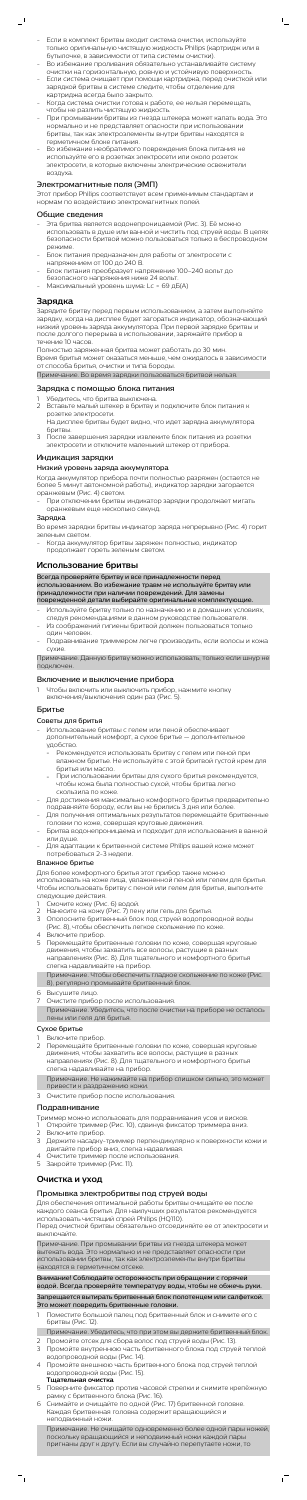- Если в комплект бритвы входит система очистки, используйте только оригинальную чистящую жидкость Philips (картридж или в бутылочке, в зависимости от типа системы очистки).
- Во избежание проливания обязательно устанавливайте систему очистки на горизонтальную, ровную и устойчивую поверхность. - Если система очищает при помощи картриджа, перед очисткой или
- зарядкой бритвы в системе следите, чтобы отделение для картриджа всегда было закрыто.
- Когда система очистки готова к работе, ее нельзя перемещать, чтобы не разлить чистящую жидкость.
- При промывании бритвы из гнезда штекера может капать вода. Это нормально и не представляет опасности при использовании бритвы, так как электроэлементы внутри бритвы находятся в герметичном блоке питания.
- Во избежание необратимого повреждения блока питания не используйте его в розетках электросети или около розеток электросети, в которые включены электрические освежители воздуха.

- Эта бритва является водонепроницаемой (Рис. 3). Её можно использовать в душе или ванной и чистить под струей воды. В целях безопасности бритвой можно пользоваться только в беспроводном режиме.
- Блок питания предназначен для работы от электросети с напряжением от 100 до 240 В.
- Блок питания преобразует напряжение 100–240 вольт до безопасного напряжения ниже 24 вольт.
- Максимальный уровень шума: Lc = 69 дБ(А)

# Электромагнитные поля (ЭМП)

Этот прибор Philips соответствует всем применимым стандартам и нормам по воздействию электромагнитных полей.

#### Общие сведения

# **Зарядка**

Зарядите бритву перед первым использованием, а затем выполняйте зарядку, когда на дисплее будет загораться индикатор, обозначающий низкий уровень заряда аккумулятора. При первой зарядке бритвы и после долгого перерыва в использовании, заряжайте прибор в течение 10 часов.

- Использование бритвы с гелем или пеной обеспечивает дополнительный комфорт, а сухое бритье — дополнительное удобство.
	- Рекомендуется использовать бритву с гелем или пеной при влажном бритье. Не используйте с этой бритвой густой крем для бритья или масло.
	- При использовани

Полностью заряженная бритва может работать до 30 мин. Время бритья может оказаться меньше, чем ожидалось в зависимости от способа бритья, очистки и типа бороды.

Примечание. Во время зарядки пользоваться бритвой нельзя.

#### Зарядка с помощью блока питания

- 1 Убедитесь, что бритва выключена. 2 Вставьте малый штекер в бритву и подключите блок питания к розетке электросети. На дисплее бритвы будет видно, что идет зарядка аккумулятора
- бритвы.
- 3 После завершения зарядки извлеките блок питания из розетки электросети и отключите маленький штекер от прибора.

#### Индикация зарядки

#### Низкий уровень заряда аккумулятора

Когда аккумулятор прибора почти полностью разряжен (остается не более 5 минут автономной работы), индикатор зарядки загорается оранжевым (Рис. 4) светом.

- При отключении бритвы индикатор зарядки продолжает мигать оранжевым еще несколько секунд.

#### Зарядка

Во время зарядки бритвы индикатор заряда непрерывно (Рис. 4) горит зеленым светом.

- Включите прибор.
- 2 Перемещайте бритвенные головки по коже, совершая круговые движения, чтобы захватить все волосы, растущие в разных направлениях (Рис. 8). Для тщательного и комфортного бритья слегка надавливайте на прибор.

- Когда аккумулятор бритвы заряжен полностью, индикатор продолжает гореть зеленым светом.

#### **Использование бритвы**

Всегда проверяйте бритву и все принадлежности перед использованием. Во избежание травм не используйте бритву или принадлежности при наличии повреждений. Для замены поврежденной детали выбирайте оригинальные комплектующие.

- Используйте бритву только по назначению и в домашних условиях, следуя рекомендациями в данном руководстве пользователя.
- Из соображений гигиены бритвой должен пользоваться только один человек.
- Подравнивание триммером легче производить, если волосы и кожа сухие.

Примечание. Данную бритву можно использовать, только если шнур не подключен.

#### Включение и выключение прибора

- 1 Чтобы включить или выключить прибор, нажмите кнопку
- включения/выключения один раз (Рис. 5).

#### Бритье

#### Советы для бритья

- чтобы кожа была полностью сухой, чтобы бритва легко скользила по коже.
- Для достижения максимально комфортного бритья предварительно подравняйте бороду, если вы не брились 3 дня или более
- Для получения оптимальных результатов перемещайте бритвенные головки по коже, совершая круговые движения.
- Бритва водонепроницаема и подходит для использования в ванной или душе.
- Для адаптации к бритвенной системе Philips вашей коже может потребоваться 2-3 недели.

# Влажное бритье

Для более комфортного бритья этот прибор также можно использовать на коже лица, увлажненной пеной или гелем для бритья. Чтобы использовать бритву с пеной или гелем для бритья, выполните следующие действия.

- 1 Смочите кожу (Рис. 6) водой.
- 2 Нанесите на кожу (Рис. 7) пену или гель для бритья.
- 3 Ополосните бритвенный блок под струей водопроводной воды
- (Рис. 8), чтобы обеспечить легкое скольжение по коже.
- 4 Включите прибор.
- 5 Перемещайте бритвенные головки по коже, совершая круговые движения, чтобы захватить все волосы, растущие в разных направлениях (Рис. 8). Для тщательного и комфортного бритья слегка надавливайте на прибор.

Примечание. Чтобы обеспечить гладкое скольжение по коже (Рис. 8), регулярно промывайте бритвенный блок.

- 6 Высушите лицо.
- 7 Очистите прибор после использования.

Примечание. Убедитесь, что после очистки на приборе не осталось пены или геля для бритья.

#### Сухое бритье

Примечание. Не нажимайте на прибор слишком сильно, это может привести к раздражению кожи.

3 Очистите прибор после использования.

### Подравнивание

Триммер можно использовать для подравнивания усов и висков.

- 1 Откройте триммер (Рис. 10), сдвинув фиксатор триммера вниз.
- 2 Включите прибор.
- 3 Держите насадку-триммер перпендикулярно к поверхности кожи и двигайте прибор вниз, слегка надавливая.
- 4 Очистите триммер после использования.
- 5 Закройте триммер (Рис. 11).

# **Очистка и уход**

# Промывка электробритвы под струей воды

Для обеспечения оптимальной работы бритвы очищайте ее после каждого сеанса бритья. Для наилучших результатов рекомендуется использовать чистящий спрей Philips (HQ110).

Перед очисткой бритвы обязательно отсоединяйте ее от электросети и выключайте.

Примечание. При промывании бритвы из гнезда штекера может вытекать вода. Это нормально и не представляет опасности при использовании бритвы, так как электроэлементы внутри бритвы находятся в герметичном отсеке.

Внимание! Соблюдайте осторожность при обращении с горячей водой. Всегда проверяйте температуру воды, чтобы не обжечь руки. Запрещается вытирать бритвенный блок полотенцем или салфеткой.

Это может повредить бритвенные головки.

- 1 Поместите большой палец под бритвенный блок и снимите его с бритвы (Рис. 12).
- Примечание. Убедитесь, что при этом вы держите бритвенный блок.
- 2 Промойте отсек для сбора волос под струей воды (Рис. 13).
- 3 Промойте внутреннюю часть бритвенного блока под струей теплой водопроводной воды (Рис. 14).
- 4 Промойте внешнюю часть бритвенного блока под струей теплой водопроводной воды (Рис. 15). **Тщательная очистка**
- 5 Поверните фиксатор против часовой стрелки и снимите крепёжную рамку с бритвенного блока (Рис. 16).
- 6 Снимайте и очищайте по одной (Рис. 17) бритвенной головке. Каждая бритвенная головка содержит вращающийся и неподвижный ножи.

Примечание. Не очищайте одновременно более одной пары ножей, поскольку вращающийся и неподвижный ножи каждой пары пригнаны друг к другу. Если вы случайно перепутаете ножи, то

 $^{-}$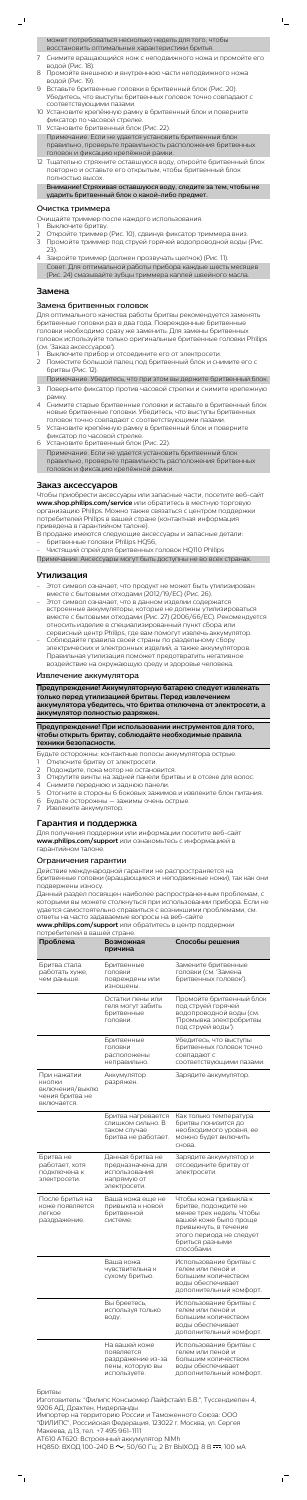| может потребоваться несколько недель для того, чтобы |
|------------------------------------------------------|
| восстановить оптимальные характеристики бритья.      |

7 Снимите вращающийся нож с неподвижного ножа и промойте его водой (Рис. 18).

 $\mathsf{I}$ 

- 8 Промойте внешнюю и внутреннюю части неподвижного ножа водой (Рис. 19).
- 9 Вставьте бритвенные головки в бритвенный блок (Рис. 20). Убедитесь, что выступы бритвенных головок точно совпадают с соответствующими пазами.
- 10 Установите крепёжную рамку в бритвенный блок и поверните фиксатор по часовой стрелке.
- 11 Установите бритвенный блок (Рис. 22).
- Примечание. Если не удается установить бритвенный блок правильно, проверьте правильность расположения бритвенных головок и фиксацию крепёжной рамки.
- 12 Тщательно стряхните оставшуюся воду, откройте бритвенный блок повторно и оставьте его открытым, чтобы бритвенный блок полностью высох.

Внимание! Стряхивая оставшуюся воду, следите за тем, чтобы не ударить бритвенный блок о какой-либо предмет.

#### Очистка триммера

Очищайте триммер после каждого использования.

- 1 Выключите бритву.
- 2 Откройте триммер (Рис. 10), сдвинув фиксатор триммера вниз.
- 3 Промойте триммер под струей горячей водопроводной воды (Рис. 23).
- 4 Закройте триммер (должен прозвучать щелчок) (Рис. 11). Совет. Для оптимальной работы прибора каждые шесть месяцев (Рис. 24) смазывайте зубцы триммера каплей швейного масла.

## **Замена**

#### Замена бритвенных головок

Для оптимального качества работы бритвы рекомендуется заменять бритвенные головки раз в два года. Поврежденные бритвенные головки необходимо сразу же заменить. Для замены бритвенных головок используйте только оригинальные бритвенные головки Philips (см. 'Заказ аксессуаров').

- Этот символ означает, что продукт не может быть утилизирован вместе с бытовыми отходами (2012/19/ЕС) (Рис. 26).
- Этот символ означает, что в данном изделии содержатся встроенные аккумуляторы, которые не должны утилизироваться вместе с бытовыми отходами (Рис. 27) (2006/66/EC). Рекомендуется относить изделие в специализированный пункт сбора или сервисный центр Philips, где вам помогут извлечь аккумулятор.
- Соблюдайте правила своей страны по раздельному сбору электрических и электронных изделий, а также аккумуляторов. Правильная утилизация поможет предотвратить негативное воздействие на окружающую среду и здоровье человека.
- 1 Выключите прибор и отсоедините его от электросети. 2 Поместите большой палец под бритвенный блок и снимите его с бритвы (Рис. 12).
- Примечание. Убедитесь, что при этом вы держите бритвенный блок.
- 3 Поверните фиксатор против часовой стрелки и снимите крепежную рамку.
- 4 Снимите старые бритвенные головки и вставьте в бритвенный блок новые бритвенные головки. Убедитесь, что выступы бритвенных головок точно совпадают с соответствующими пазами.
- 5 Установите крепёжную рамку в бритвенный блок и поверните фиксатор по часовой стрелке.
- 6 Установите бритвенный блок (Рис. 22). Примечание. Если не удается установить бритвенный блок

- Отключите бритву от электросети.
- 2 Подождите, пока мотор не остановится. Открутите винты на задней панели бритвы и в отсеке для волос
- 
- 4 Снимите переднюю и заднюю панели.
- 5 Отогните в стороны 6 боковых зажимов и извлеките блок питания.
- 6 Будьте осторожны зажимы очень острые.
- 7 Извлеките аккумулятор.

правильно, проверьте правильность расположения бритвенных головок и фиксацию крепёжной рамки.

# **Заказ аксессуаров**

Чтобы приобрести аксессуары или запасные части, посетите веб-сайт **www.shop.philips.com/service** или обратитесь в местную торговую организацию Philips. Можно также связаться с центром поддержки потребителей Philips в вашей стране (контактная информация приведена в гарантийном талоне).

- В продаже имеются следующие аксессуары и запасные детали: - бритвенные головки Philips HQ56,
- Чистящий спрей для бритвенных головок HQ110 Philips

Примечание. Аксессуары могут быть доступны не во всех странах.

# **Утилизация**

#### Извлечение аккумулятора

**Предупреждение! Аккумуляторную батарею следует извлекать только перед утилизацией бритвы. Перед извлечением аккумулятора убедитесь, что бритва отключена от электросети, а аккумулятор полностью разряжен.**

#### **Предупреждение! При использовании инструментов для того, чтобы открыть бритву, соблюдайте необходимые правила техники безопасности.**

Будьте осторожны: контактные полосы аккумулятора острые.

## **Гарантия и поддержка**

Для получения поддержки или информации посетите веб-сайт **www.philips.com/support** или ознакомьтесь с информацией в гарантийном талоне.

#### Ограничения гарантии

Действие международной гарантии не распространяется на бритвенные головки (вращающиеся и неподвижные ножи), так как они подвержены износу.

Данный раздел посвящен наиболее распространенным проблемам, с которыми вы можете столкнуться при использовании прибора. Если не удается самостоятельно справиться с возникшими проблемами, см. ответы на часто задаваемые вопросы на веб-сайте

**www.philips.com/support** или обратитесь в центр поддержки потребителей в вашей стране.

| потребителей в вашей стране.                                               |                                                                                       |                                                                                                                                                                                          |
|----------------------------------------------------------------------------|---------------------------------------------------------------------------------------|------------------------------------------------------------------------------------------------------------------------------------------------------------------------------------------|
| Проблема                                                                   | Возможная<br>причина                                                                  | Способы решения                                                                                                                                                                          |
| Бритва стала<br>работать хуже,<br>чем раньше.                              | Бритвенные<br>ГОЛОВКИ<br>повреждены или<br>изношены.                                  | Замените бритвенные<br>головки (см. 'Замена<br>бритвенных головок').                                                                                                                     |
|                                                                            | Остатки пены или<br>геля могут забить<br>бритвенные<br>ГОЛОВКИ.                       | Промойте бритвенный блок<br>под струей горячей<br>водопроводной воды (см.<br>'Промывка электробритвы<br>под струей воды').                                                               |
|                                                                            | Бритвенные<br>ГОЛОВКИ<br>расположены<br>неправильно.                                  | Убедитесь, что выступы<br>бритвенных головок точно<br>совпадают с<br>соответствующими пазами.                                                                                            |
| При нажатии<br>КНОПКИ<br>включения/выклю<br>чения бритва не<br>включается. | Аккумулятор<br>разряжен.                                                              | Зарядите аккумулятор.                                                                                                                                                                    |
|                                                                            | Бритва нагревается<br>слишком сильно. В<br>таком случае<br>бритва не работает.        | Как только температура<br>бритвы понизится до<br>необходимого уровня, ее<br>можно будет включить<br>снова.                                                                               |
| Бритва не<br>работает, хотя<br>подключена к<br>электросети.                | Данная бритва не<br>предназначена для<br>использования<br>напрямую от<br>электросети. | Зарядите аккумулятор и<br>отсоедините бритву от<br>электросети.                                                                                                                          |
| После бритья на<br>коже появляется<br>легкое<br>раздражение.               | Ваша кожа еще не<br>привыкла к новой<br>бритвенной<br>системе.                        | Чтобы кожа привыкла к<br>бритве, подождите не<br>менее трех недель. Чтобы<br>вашей коже было проще<br>привыкнуть, в течение<br>этого периода не следует<br>бриться разными<br>способами. |
|                                                                            | Ваша кожа<br>чувствительна к<br>сухому бритью.                                        | Использование бритвы с<br>гелем или пеной и<br>большим количеством<br>воды обеспечивает<br>дополнительный комфорт.                                                                       |
|                                                                            | Вы бреетесь,<br>используя только<br>воду.                                             | Использование бритвы с<br>гелем или пеной и<br>большим количеством<br>воды обеспечивает<br>дополнительный комфорт.                                                                       |
|                                                                            | На вашей коже<br>появляется<br>раздражение из-за<br>пены, которую вы<br>используете.  | Использование бритвы с<br>гелем или пеной и<br>большим количеством<br>воды обеспечивает<br>дополнительный комфорт.                                                                       |

#### Бритвы

Изготовитель: "Филипс Консьюмер Лайфстайл Б.В.", Туссендиепен 4, 9206 АД, Драхтен, Нидерланды

Импортер на территорию России и Таможенного Союза: ООО "ФИЛИПС", Российская Федерация, 123022 г. Москва, ул. Сергея Макеева, д.13, тел. +7 495 961-1111

AT610 AT620: Встроенный аккумулятор NiMh

НQ850: ВХОД 100-240 В  $\sim$ ; 50/60 Гц; 2 Вт ВЫХОД: 8 В  $\equiv$ , 100 мА

 $\sqrt{2}$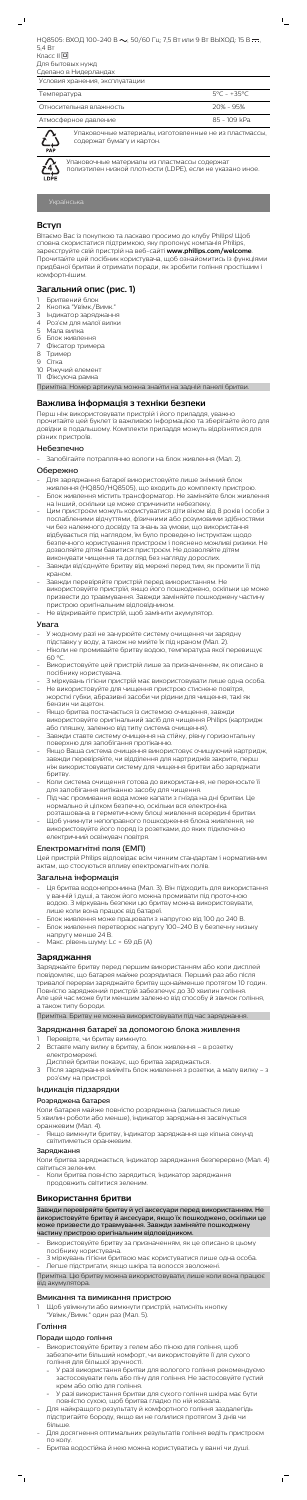НО8505: ВХОД 100-240 В  $\sim$ ; 50/60 Гц; 7,5 Вт или 9 Вт ВЫХОД: 15 В  $\equiv$ 5,4 Вт

Класс II Для бытовых нужд

Сделано в Нидерландах

| Условия хранения, эксплуатации |              |
|--------------------------------|--------------|
| Температура                    | 5°C - +35°C  |
| Относительная влажность        | $20% - 95%$  |
| Атмосферное давление           | 85 - 109 kPa |



Упаковочные материалы, изготовленные не из пластмассы, содержат бумагу и картон.

 $\mathbb{L}$ 

Упаковочные материалы из пластмассы содержат полиэтилен низкой плотности (LDPE), если не указано иное.

# **Вступ**

Вітаємо Вас із покупкою та ласкаво просимо до клубу Philips! Щоб сповна скористатися підтримкою, яку пропонує компанія Philips, зареєструйте свій пристрій на веб-сайті **www.philips.com/welcome**. Прочитайте цей посібник користувача, щоб ознайомитись із функціями придбаної бритви й отримати поради, як зробити гоління простішим і комфортнішим.

# **Загальний опис (рис. 1)**

- 1 Бритвений блок
- 2 Кнопка "Увімк./Вимк."
- 3 Індикатор заряджання
- 4 Роз'єм для малої вилки
- 5 Мала вилка
- 6 Блок живлення
- 7 Фіксатор тримера
- 8 Тример
- 9 Сітка
- 10 Ріжучий елемент
- 11 Фіксуюча рамка

Примітка. Номер артикула можна знайти на задній панелі бритви.

#### **Важлива інформація з техніки безпеки**

Перш ніж використовувати пристрій і його приладдя, уважно прочитайте цей буклет із важливою інформацією та зберігайте його для довідки в подальшому. Комплекти приладдя можуть відрізнятися для різних пристроїв.

#### Небезпечно

- Запобігайте потраплянню вологи на блок живлення (Мал. 2).

#### Обережно

- У жодному разі не занурюйте систему очищення чи зарядну підставку у воду, а також не мийте їх під краном (Мал. 2).
- Ніколи не промивайте бритву водою, температура якої перевищує  $60°$
- Використовуйте цей пристрій лише за призначенням, як описано в посібнику користувача.
- З міркувань гігієни пристрій має використовувати лише одна особа. Не використовуйте для чищення пристрою стиснене повітря,
- жорсткі губки, абразивні засоби чи рідини для чищення, такі як бензин чи ацетон.
- Якщо бритва постачається із системою очищення, завжди використовуйте оригінальний засіб для чищення Philips (картридж або пляшку, залежно від типу система очищення).
- Завжди ставте систему очищення на стійку, рівну горизонтальну поверхню для запобігання протіканню.
- Якщо Ваша система очищення використовує очищуючий картридж, завжди перевіряйте, чи відділення для картриджів закрите, перш ніж використовувати систему для чищення бритви або заряджати бритву. - Коли система очищення готова до використання, не переносьте її для запобігання витіканню засобу для чищення.
- Під час промивання вода може капати з гнізда на дні бритви. Це нормально й цілком безпечно, оскільки вся електроніка
- розташована в герметичному блоці живлення всередині бритви. - Щоб уникнути непоправного пошкодження блока живлення, не використовуйте його поряд із розетками, до яких підключено електричний освіжувач повітря.
- Для заряджання батареї використовуйте лише знімний блок живлення (HQ850/HQ8505), що входить до комплекту пристрою.
- Блок живлення містить трансформатор. Не заміняйте блок живлення на інший, оскільки це може спричинити небезпеку.
- Цим пристроєм можуть користуватися діти віком від 8 років і особи з послабленими відчуттями, фізичними або розумовими здібностями чи без належного досвіду та знань за умови, що використання відбувається під наглядом, їм було проведено інструктаж щодо безпечного користування пристроєм і пояснено можливі ризики. Не дозволяйте дітям бавитися пристроєм. Не дозволяйте дітям виконувати чищення та догляд без нагляду дорослих.
- Завжди від'єднуйте бритву від мережі перед тим, як промити її під краном.
- Завжди перевіряйте пристрій перед використанням. Не використовуйте пристрій, якщо його пошкоджено, оскільки це може призвести до травмування. Завжди заміняйте пошкоджену частину пристрою оригінальним відповідником.
- Не відкривайте пристрій, щоб замінити акумулятор.

- Ця бритва водонепроникна (Мал. 3). Він підходить для використання у ванній і душі, а також його можна промивати під проточною водою. З міркувань безпеки цю бритву можна використовувати, лише коли вона працює від батареї.
- Блок живлення може працювати з напругою від 100 до 240 В. - Блок живлення перетворює напругу 100–240 В у безпечну низьку напругу менше 24 В.
- Макс. рівень шуму: Lc = 69 дБ (A)

#### Увага

#### Електромагнітні поля (ЕМП)

Цей пристрій Philips відповідає всім чинним стандартам і нормативним актам, що стосуються впливу електромагнітних полів.

### Загальна інформація

#### **Заряджання**

Заряджайте бритву перед першим використанням або коли дисплей повідомляє, що батарея майже розрядилася. Перший раз або після тривалої перерви заряджайте бритву щонайменше протягом 10 годин. Повністю заряджений пристрій забезпечує до 30 хвилин гоління. Але цей час може бути меншим залежно від способу й звичок гоління, а також типу бороди.

Примітка. Бритву не можна використовувати під час заряджання.

#### Заряджання батареї за допомогою блока живлення

- 1 Перевірте, чи бритву вимкнуто.
- 2 Вставте малу вилку в бритву, а блок живлення в розетку електромережі.
- Дисплей бритви показує, що бритва заряджається.
- 3 Після заряджання вийміть блок живлення з розетки, а малу вилку з роз'єму на пристрої.

#### Індикація підзарядки

#### Розряджена батарея

Коли батарея майже повністю розряджена (залишається лише 5 хвилин роботи або менше), індикатор заряджання засвічується оранжевим (Мал. 4).

- Якщо вимкнути бритву, індикатор заряджання ще кілька секунд світитиметься оранжевим.

#### Заряджання

Коли бритва заряджається, індикатор заряджання безперервно (Мал. 4) світиться зеленим.

- Коли бритва повністю зарядиться, індикатор заряджання продовжить світитися зеленим.

### **Використання бритви**

Завжди перевіряйте бритву й усі аксесуари перед використанням. Не використовуйте бритву й аксесуари, якщо їх пошкоджено, оскільки це може призвести до травмування. Завжди заміняйте пошкоджену частину пристрою оригінальним відповідником.

- Використовуйте бритву за призначенням, як це описано в цьому посібнику користувача.
- 3 міркувань гігієни бритвою має користуватися лише одна особа. - Легше підстригати, якщо шкіра та волосся зволожені.

Примітка. Цю бритву можна використовувати, лише коли вона працює від акумулятора.

#### Вмикання та вимикання пристрою

1 Щоб увімкнути або вимкнути пристрій, натисніть кнопку "Увімк./Вимк." один раз (Мал. 5).

## Гоління

#### Поради щодо гоління

- Використовуйте бритву з гелем або піною для гоління, щоб забезпечити більший комфорт, чи використовуйте її для сухого гоління для більшої зручності.
	- У разі використання бритви для вологого гоління рекомендуємо застосовувати гель або піну для гоління. Не застосовуйте густий крем або олію для гоління.
	- У разі використання бритви для сухого гоління шкіра має бути повністю сухою, щоб бритва гладко по ній ковзала.
- Для найкращого результату й комфортного гоління заздалегідь підстригайте бороду, якщо ви не голилися протягом 3 днів чи більше.
- Для досягнення оптимальних результатів гоління ведіть пристроєм по колу.

 $\sqrt{2}$ 

- Бритва водостійка й нею можна користуватись у ванні чи душі.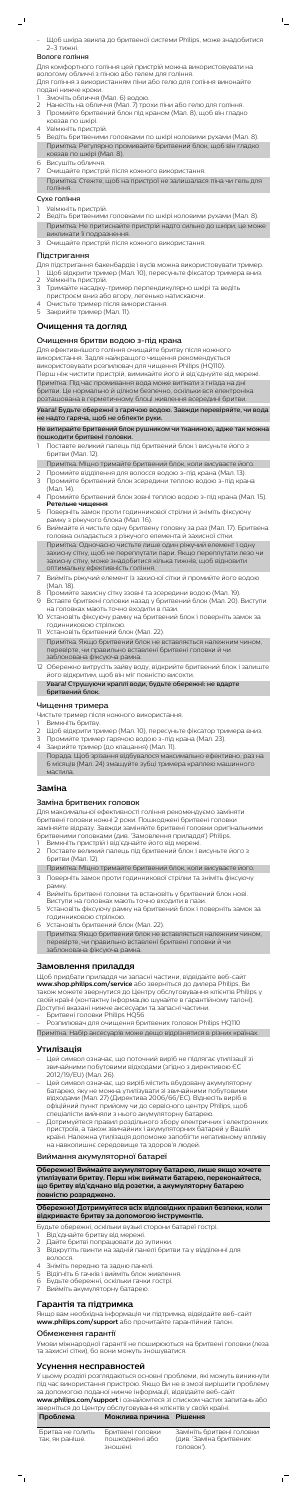- Щоб шкіра звикла до бритвеної системи Philips, може знадобитися 2–3 тижні.

 $\mathsf{I}$ 

#### Вологе гоління

 $\overline{\phantom{0}}$ 

Для комфортного гоління цей пристрій можна використовувати на вологому обличчі з піною або гелем для гоління. Для гоління з використанням піни або гелю для гоління виконайте

- подані нижче кроки.
- 1 Змочіть обличчя (Мал. 6) водою.
- 2 Нанесіть на обличчя (Мал. 7) трохи піни або гелю для гоління.
- 3 Промийте бритвений блок під краном (Мал. 8), щоб він гладко ковзав по шкірі.
- 4 Увімкніть пристрій.
- 5 Ведіть бритвеними головками по шкірі коловими рухами (Мал. 8). Примітка. Регулярно промивайте бритвений блок, щоб він гладко ковзав по шкірі (Мал. 8).
- 6 Висушіть обличчя.
- 7 Очищайте пристрій після кожного використання.
- Примітка. Стежте, щоб на пристрої не залишалася піна чи гель для гоління.

### Сухе гоління

- Увімкніть пристрій.
- 2 Ведіть бритвеними головками по шкірі коловими рухами (Мал. 8). Примітка. Не притискайте пристрій надто сильно до шкіри, це може викликати її подразнення.
- Очищайте пристрій після кожного використання.

### Підстригання

Для підстригання бакенбардів і вусів можна використовувати тример.

- 1 Щоб відкрити тример (Мал. 10), пересуньте фіксатор тримера вниз. 2 Увімкніть пристрій.
- 
- 3 Тримайте насадку-тример перпендикулярно шкірі та ведіть
- пристроєм вниз або вгору, легенько натискаючи.
- 4 Очистьте тример після використання.
- 5 Закрийте тример (Мал. 11).

# **Очищення та догляд**

### Очищення бритви водою з-під крана

Для ефективнішого гоління очищайте бритву після кожного використання. Задля найкращого чищення рекомендується використовувати розпилювач для чищення Philips (HQ110). Перш ніж чистити пристрій, вимикайте його й від'єднуйте від мережі. Примітка. Під час промивання вода може витікати з гнізда на дні бритви. Це нормально й цілком безпечно, оскільки вся електроніка розташована в герметичному блоці живлення всередині бритви.

Увага! Будьте обережні з гарячою водою. Завжди перевіряйте, чи вода не надто гаряча, щоб не обпекти руки.

- Вимкніть бритву.
- 2 Щоб відкрити тример (Мал. 10), пересуньте фіксатор тримера вниз.
- 3 Промийте тример гарячою водою з-під крана (Мал. 23).
- 4 Закрийте тример (до клацання) (Мал. 11). Порада. Щоб зрізання відбувалося максимально ефективно, раз на 6 місяців (Мал. 24) змащуйте зубці тримера краплею машинного мастила.

Не витирайте бритвений блок рушником чи тканиною, адже так можна пошкодити бритвені головки.

1 Поставте великий палець під бритвений блок і висуньте його з бритви (Мал. 12).

Примітка. Міцно тримайте бритвений блок, коли висуваєте його.

- 2 Промийте відділення для волосся водою з-під крана (Мал. 13).
- 3 Промийте бритвений блок зсередини теплою водою з-під крана (Мал. 14).
- 4 Промийте бритвений блок зовні теплою водою з-під крана (Мал. 15). **Ретельне чищення**
- 5 Поверніть замок проти годинникової стрілки й зніміть фіксуючу рамку з ріжучого блока (Мал. 16).
- 6 Виймайте й чистьте одну бритвену головку за раз (Мал. 17). Бритвена головка складається з ріжучого елемента й захисної сітки. Примітка. Одночасно чистьте лише один ріжучий елемент і одну

- Вимкніть пристрій і від'єднайте його від мережі.
- 2 Поставте великий палець під бритвений блок і висуньте його з бритви (Мал. 12).
- Примітка. Міцно тримайте бритвений блок, коли висуваєте його.
- 3 Поверніть замок проти годинникової стрілки та зніміть фіксуючу рамку.
- 4 Вийміть бритвені головки та встановіть у бритвений блок нові. Виступи на головках мають точно входити в пази.
- 5 Установіть фіксуючу рамку на бритвений блок і поверніть замок за годинниковою стрілкою.
- 6 Установіть бритвений блок (Мал. 22). Примітка. Якщо бритвений блок не вставляється належним чином, перевірте, чи правильно вставлені бритвені головки й чи заблокована фіксуюча рамка.

захисну сітку, щоб не переплутати пари. Якщо переплутати лезо чи захисну сітку, може знадобитися кілька тижнів, щоб відновити оптимальну ефективність гоління.

- 7 Вийміть ріжучий елемент із захисної сітки й промийте його водою (Мал. 18).
- 8 Промийте захисну сітку ззовні та зсередини водою (Мал. 19).
- 9 Вставте бритвені головки назад у бритвений блок (Мал. 20). Виступи на головках мають точно входити в пази.
- 10 Установіть фіксуючу рамку на бритвений блок і поверніть замок за годинниковою стрілкою.
- 11 Установіть бритвений блок (Мал. 22). Примітка. Якщо бритвений блок не вставляється належним чином, перевірте, чи правильно вставлені бритвені головки й чи заблокована фіксуюча рамка.
- 12 Обережно витрусіть зайву воду, відкрийте бритвений блок і залиште його відкритим, щоб він міг повністю висохти.
	- Увага! Струшуючи краплі води, будьте обережні: не вдарте бритвений блок.

# Чищення тримера

Чистьте тример після кожного використання.

# **Заміна**

## Заміна бритвених головок

Для максимальної ефективності гоління рекомендуємо заміняти бритвені головки кожні 2 роки. Пошкоджені бритвені головки заміняйте відразу. Завжди заміняйте бритвені головки оригінальними бритвеними головками (див. 'Замовлення приладдя') Philips.

# **Замовлення приладдя**

Щоб придбати приладдя чи запасні частини, відвідайте веб-сайт **www.shop.philips.com/service** або зверніться до дилера Philips. Ви також можете звернутися до Центру обслуговування клієнтів Philips у своїй країні (контактну інформацію шукайте в гарантійному талоні). Доступні вказані нижче аксесуари та запасні частини.

- Бритвені головки Philips HQ56
- Розпилювач для очищення бритвених головок Philips HQ110

Примітка. Набір аксесуарів може дещо відрізнятися в різних країнах.

# **Утилізація**

- Цей символ означає, що поточний виріб не підлягає утилізації зі звичайними побутовими відходами (згідно з директивою ЄС 2012/19/EU) (Мал. 26).
- Цей символ означає, що виріб містить вбудовану акумуляторну батарею, яку не можна утилізувати зі звичайними побутовими відходами (Мал. 27) (Директива 2006/66/EC). Віднесіть виріб в офіційний пункт прийому чи до сервісного центру Philips, щоб спеціалісти вийняли з нього акумуляторну батарею.
- Дотримуйтеся правил роздільного збору електричних і електронних пристроїв, а також звичайних і акумуляторних батарей у Вашій країні. Належна утилізація допоможе запобігти негативному впливу на навколишнє середовище та здоров'я людей.

### Виймання акумуляторної батареї

**Обережно! Виймайте акумуляторну батарею, лише якщо хочете утилізувати бритву. Перш ніж виймати батарею, переконайтеся, що бритву від'єднано від розетки, а акумуляторну батарею повністю розряджено.**

**Обережно! Дотримуйтеся всіх відповідних правил безпеки, коли відкриваєте бритву за допомогою інструментів.**

- Будьте обережні, оскільки вузькі сторони батареї гострі.
- 1 Від'єднайте бритву від мережі.
- 2 Дайте бритві попрацювати до зупинки.
- 3 Відкрутіть гвинти на задній панелі бритви та у відділенні для волосся.
- 4 Зніміть передню та задню панелі.
- 5 Відігніть 6 гачків і вийміть блок живлення.
- 6 Будьте обережні, оскільки гачки гострі.
- 7 Вийміть акумуляторну батарею.

### **Гарантія та підтримка**

Якщо вам необхідна інформація чи підтримка, відвідайте веб-сайт **www.philips.com/support** або прочитайте гарантійний талон.

#### Обмеження гарантії

Умови міжнародної гарантії не поширюються на бритвені головки (леза та захисні сітки), бо вони можуть зношуватися.

# **Усунення несправностей**

У цьому розділі розглядаються основні проблеми, які можуть виникнути під час використання пристрою. Якщо Ви не в змозі вирішити проблему за допомогою поданої нижче інформації, відвідайте веб-сайт

**www.philips.com/support** і ознайомтеся зі списком частих запитань або зверніться до Центру обслуговування клієнтів у своїй країні.

| Проблема                            | Можлива причина Рішення                        |                                                                    |
|-------------------------------------|------------------------------------------------|--------------------------------------------------------------------|
| Бритва не голить<br>так, як раніше. | Бритвені головки<br>пошкоджені або<br>зношені. | Замініть бритвені головки<br>(див. 'Заміна бритвених<br>головок'). |

 $\sqrt{2}$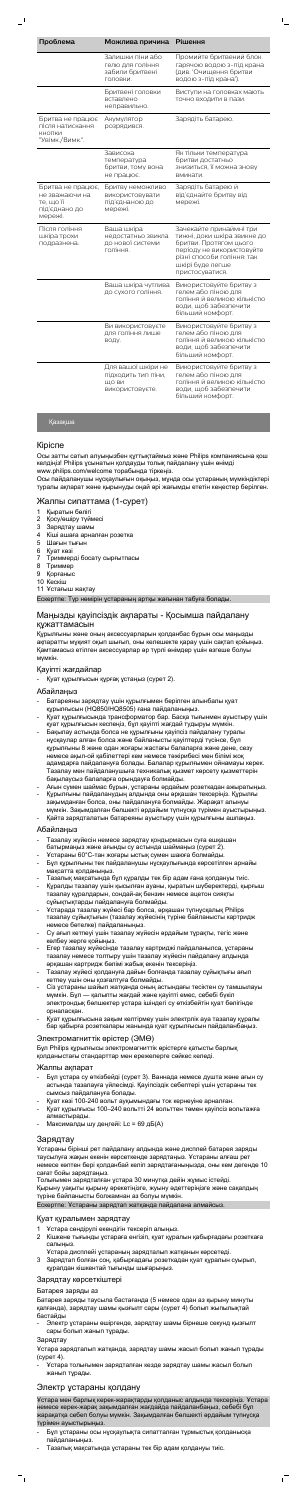| Проблема                                                                     | Можлива причина                                                       | Рішення                                                                                                                                                                            |
|------------------------------------------------------------------------------|-----------------------------------------------------------------------|------------------------------------------------------------------------------------------------------------------------------------------------------------------------------------|
|                                                                              | Залишки піни або<br>гелю для гоління<br>забили бритвені<br>ГОЛОВКИ.   | Промийте бритвений блок<br>гарячою водою з-під крана<br>(див. Очищення бритви<br>водою з-під крана').                                                                              |
|                                                                              | Бритвені головки<br>вставлено<br>неправильно.                         | Виступи на головках мають<br>точно входити в пази.                                                                                                                                 |
| Бритва не працює<br>після натискання<br>КНОПКИ<br>"Увімк./Вимк.".            | Акумулятор<br>розрядився.                                             | Зарядіть батарею.                                                                                                                                                                  |
|                                                                              | Зависока<br>температура<br>бритви, тому вона<br>не працює.            | Як тільки температура<br>бритви достатньо<br>знизиться, її можна знову<br>вмикати.                                                                                                 |
| Бритва не працює,<br>не зважаючи на<br>те, що її<br>під'єднано до<br>мережі. | Бритву неможливо<br>використовувати<br>під'єднаною до<br>мережі.      | Зарядіть батарею й<br>від'єднайте бритву від<br>мережі.                                                                                                                            |
| Після гоління<br>шкіра трохи<br>подразнена.                                  | Ваша шкіра<br>недостатньо звикла<br>до нової системи<br>гоління.      | Зачекайте принаймні три<br>тижні, доки шкіра звикне до<br>бритви. Протягом цього<br>періоду не використовуйте<br>різні способи гоління: так<br>шкірі буде легше<br>пристосуватися. |
|                                                                              | Ваша шкіра чутлива<br>до сухого гоління.                              | Використовуйте бритву з<br>гелем або піною для<br>гоління й великою кількістю<br>води, щоб забезпечити<br>більший комфорт.                                                         |
|                                                                              | Ви використовуєте<br>для гоління лише<br>воду.                        | Використовуйте бритву з<br>гелем або піною для<br>гоління й великою кількістю<br>води, щоб забезпечити<br>більший комфорт.                                                         |
|                                                                              | Для вашої шкіри не<br>підходить тип піни,<br>ШО ВИ<br>використовуєте. | Використовуйте бритву з<br>гелем або піною для<br>гоління й великою кількістю<br>води, щоб забезпечити<br>більший комфорт.                                                         |

# Қазақша

#### Кіріспе

Осы затты сатып алуыңызбен құттықтаймыз және Philips компаниясына қош келдіңіз! Philips ұсынатын қолдауды толық пайдалану үшін өнімді www.philips.com/welcome торабында тіркеңіз.

Осы пайдаланушы нұсқаулығын оқыңыз, мұнда осы ұстараның мүмкіндіктері туралы ақпарат және қырынуды оңай әрі жағымды ететін кеңестер берілген.

#### Жалпы сипаттама (1-сурет)

- 1 Қыратын бөлігі
- 2 Қосу/өшіру түймесі
- 3 Зарядтау шамы
- 4 Кіші ашаға арналған розетка
- 5 Шағын тығын
- 6 Қуат көзі
- 7 Триммерді босату сырғытпасы
- 8 Триммер
- 9 Қорғаныс
- 10 Кескіш
- 11 Ұстағыш жақтау

Ескертпе: Түр нөмірін ұстараның артқы жағынан табуға болады.

#### Маңызды қауіпсіздік ақпараты - Қосымша пайдалану құжаттамасын

Құрылғыны және оның аксессуарларын қолданбас бұрын осы маңызды ақпаратты мұқият оқып шығып, оны келешекте қарау үшін сақтап қойыңыз. Қамтамасыз етілген аксессуарлар әр түрлі өнімдер үшін өзгеше болуы мүмкін.

#### Қауіпті жағдайлар

- Қуат құрылғысын құрғақ ұстаңыз (сурет 2).

#### Абайлаңыз

- Батареяны зарядтау үшін құрылғымен берілген алынбалы қуат құрылғысын (HQ850/HQ8505) ғана пайдаланыңыз.
- Қуат құрылғысында трансформатор бар. Басқа тығынмен ауыстыру үшін қуат құрылғысын кеспеңіз, бұл қауіпті жағдай тудыруы мүмкін.
- Бақылау астында болса не құрылғыны қауіпсіз пайдалану туралы нұсқаулар алған болса және байланысты қауіптерді түсінсе, бұл құрылғыны 8 және одан жоғары жастағы балаларға және дене, сезу немесе ақыл-ой қабілеттері кем немесе тәжірибесі мен білімі жоқ адамдарға пайдалануға болады. Балалар құрылғымен ойнамауы керек. Тазалау мен пайдаланушыға техникалық қызмет көрсету қызметтерін
- бақылаусыз балаларға орындауға болмайды.
- Ағын сумен шаймас бұрын, ұстараны әрдайым розеткадан ажыратыңыз. - Құрылғыны пайдаланудың алдында оны әрқашан тексеріңіз. Құрылғы зақымданған болса, оны пайдалануға болмайды. Жарақат алынуы
- мүмкін. Зақымдалған бөлшекті әрдайым түпнұсқа түрімен ауыстырыңыз. - Қайта зарядталатын батареяны ауыстыру үшін құрылғыны ашпаңыз.

### Абайлаңыз

- Тазалау жүйесін немесе зарядтау қондырмасын суға ешқашан батырмаңыз және ағынды су астында шаймаңыз (сурет 2).
- Ұстараны 60°C-тан жоғары ыстық сумен шаюға болмайды.
- Бұл құрылғыны тек пайдаланушы нұсқаулығында көрсетілген арнайы мақсатта қолданыңыз.
- Тазалық мақсатында бұл құралды тек бір адам ғана қолдануы тиіс.
- Құралды тазалау үшін қысылған ауаны, қыратын шүберектерді, қырғыш тазалау құралдарын, сондай-ақ бензин немесе ацетон сияқты сұйықтықтарды пайдалануға болмайды.
- Ұстарада тазалау жүйесі бар болса, әрқашан түпнұсқалық Philips тазалау сұйықтығын (тазалау жүйесінің түріне байланысты картридж немесе бөтелке) пайдаланыңыз.
- Су ағып кетпеуі үшін тазалау жүйесін әрдайым тұрақты, тегіс және көлбеу жерге қойыңыз.
- Егер тазалау жүйесінде тазалау картриджі пайдаланылса, ұстараны тазалау немесе толтыру үшін тазалау жүйесін пайдалану алдында әрқашан картридж бөлімі жабық екенін тексеріңіз.
- Тазалау жүйесі қолдануға дайын болғанда тазалау сұйықтығы ағып кетпеу үшін оны қозғалтуға болмайды.
- Сіз ұстараны шайып жатқанда оның астындағы тесіктен су тамшылауы мүмкін. Бұл — қалыпты жағдай және қауіпті емес, себебі бүкіл электрондық бөлшектер ұстара ішіндегі су өткізбейтін қуат бөлігінде орналасқан.
- Қуат құрылғысына зақым келтірмеу үшін электрлік ауа тазалау құралы бар қабырға розеткалары жанында қуат құрылғысын пайдаланбаңыз.

### Электромагниттік өрістер (ЭМӨ)

Бұл Philips құрылғысы электромагниттік өрістерге қатысты барлық қолданыстағы стандарттар мен ережелерге сәйкес келеді.

### Жалпы ақпарат

- Бұл ұстара су өткізбейді (сурет 3). Ваннада немесе душта және ағын су астында тазалауға үйлесімді. Қауіпсіздік себептері үшін ұстараны тек сымсыз пайдалануға болады.
- Қуат көзі 100-240 вольт ауқымындағы ток кернеуіне арналған. - Қуат құрылғысы 100–240 вольтті 24 вольттен төмен қауіпсіз вольтажға алмастырады.
- Максималды шу деңгейі: Lc = 69 дБ(A)

# Зарядтау

Ұстараны бірінші рет пайдалану алдында және дисплей батарея заряды таусылуға жақын екенін көрсеткенде зарядтаңыз. Ұстараны алғаш рет немесе көптен бері қолданбай келіп зарядтағаныңызда, оны кем дегенде 10 сағат бойы зарядтаңыз.

Толығымен зарядталған ұстара 30 минутқа дейін жұмыс істейді. Қырыну уақыты қырыну әрекетіңізге, жуыну әдеттеріңізге және сақалдың түріне байланысты болжамнан аз болуы мүмкін.

Ескертпе: Ұстараны зарядтап жатқанда пайдалана алмайсыз.

### Қуат құралымен зарядтау

- 1 Ұстара сөндірулі екендігін тексеріп алыңыз.
- 2 Кішкене тығынды ұстараға енгізіп, қуат құралын қабырғадағы розеткаға салыңыз.
- Ұстара дисплейі ұстараның зарядталып жатқанын көрсетеді. 3 Зарядтап болған соң, қабырғадағы розеткадан қуат құралын суырып, құралдан кішкентай тығынды шығарыңыз.

# Зарядтау көрсеткіштері

### Батарея заряды аз

Батарея заряды таусыла бастағанда (5 немесе одан аз қырыну минуты қалғанда), зарядтау шамы қызғылт сары (сурет 4) болып жыпылықтай бастайды

- Электр ұстараны өшіргенде, зарядтау шамы бірнеше секунд қызғылт сары болып жанып тұрады.

#### Зарядтау

 $\vdash$ <sub>1</sub>

Ұстара зарядталып жатқанда, зарядтау шамы жасыл болып жанып тұрады (сурет 4).

- Ұстара толығымен зарядталған кезде зарядтау шамы жасыл болып жанып тұрады.

# Электр ұстараны қолдану

Ұстара мен барлық керек-жарақтарды қолданыс алдында тексеріңіз. Ұстара немесе керек-жарақ зақымдалған жағдайда пайдаланбаңыз, себебі бұл жарақатқа себеп болуы мүмкін. Зақымдалған бөлшекті әрдайым түпнұсқа түрімен ауыстырыңыз.

- Бұл ұстараны осы нұсқаулықта сипатталған тұрмыстық қолданысқа пайдаланыңыз.
- Тазалық мақсатында ұстараны тек бір адам қолдануы тиіс.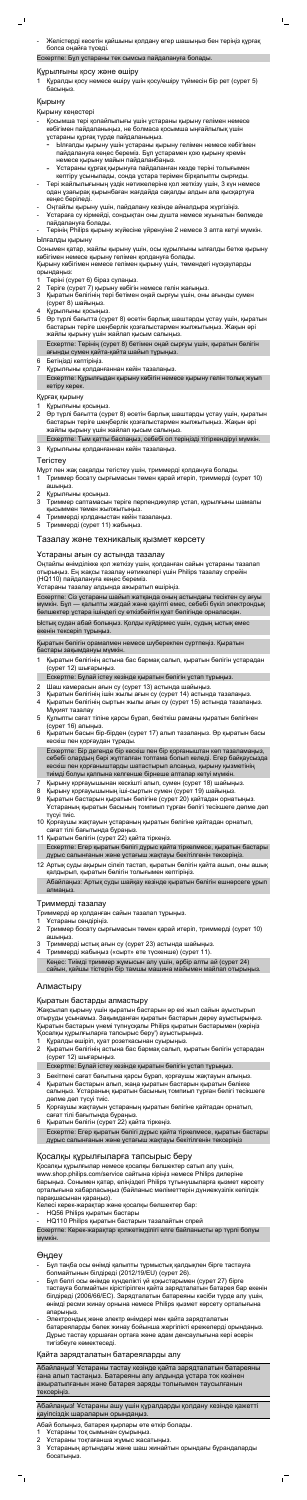- Желістерді кесетін қайшыны қолдану егер шашыңыз бен теріңіз құрғақ болса оңайға түседі.

 $\mathsf{I}$ 

Ескертпе: Бұл ұстараны тек сымсыз пайдалануға болады.

#### Құрылғыны қосу және өшіру

1 Құралды қосу немесе өшіру үшін қосу/өшіру түймесін бір рет (сурет 5) басыңыз.

## Қырыну

#### Қырыну кеңестері

- Қосымша тері қолайлылығы үшін ұстараны қырыну гелімен немесе көбігімен пайдаланыңыз, не болмаса қосымша ыңғайлылық үшін ұстараны құрғақ түрде пайдаланыңыз.
	- Ылғалды қырыну үшін ұстараны қырыну гелімен немесе көбігімен пайдалануға кеңес береміз. Бұл ұстарамен қою қырыну кремін немесе қырыну майын пайдаланбаңыз.
	- Ұстараны құрғақ қырынуға пайдаланған кезде теріні толығымен кептіру ұсынылады, сонда ұстара терімен бірқалыпты сырғиды.
- Тері жайлылығының үздік нәтижелеріне қол жеткізу үшін, 3 күн немесе одан ұзағырақ қырынбаған жағдайда сақалды алдын ала қысқартуға кеңес беріледі.
- Оңтайлы қырыну үшін, пайдалану кезінде айналдыра жүргізіңіз.
- Ұстараға су кірмейді, сондықтан оны душта немесе жуынатын бөлмеде пайдалануға болады.
- Терінің Philips қырыну жүйесіне үйренуіне 2 немесе 3 апта кетуі мүмкін. Ылғалды қырыну

Сонымен қатар, жайлы қырыну үшін, осы құрылғыны ылғалды бетке қырыну көбігімен немесе қырыну гелімен қолдануға болады.

Қырыну көбігімен немесе гелімен қырыну үшін, төмендегі нұсқауларды орындаңыз:

- 1 Теріні (сурет 6) біраз сулаңыз.
- 2 Теріге (сурет 7) қырыну көбігін немесе гелін жағыңыз.
- 3 Қыратын бөлігінің тері бетімен оңай сырғуы үшін, оны ағынды сумен (сурет 8) шайыңыз.
- 4 Құрылғыны қосыңыз.
- 5 Әр түрлі бағытта (сурет 8) өсетін барлық шаштарды ұстау үшін, қыратын бастарын теріге шеңберлік қозғалыстармен жылжытыңыз. Жақын әрі жайлы қырыну үшін жайлап қысым салыңыз. Ескертпе: Терінің (сурет 8) бетімен оңай сырғуы үшін, қыратын бөлігін ағынды сумен қайта-қайта шайып тұрыңыз.
- 6 Бетіңізді кептіріңіз.
- 7 Құрылғыны қолданғаннан кейін тазалаңыз.

Ескертпе: Құрылғыдан қырыну көбігін немесе қырыну гелін толық жуып кетіру керек.

#### Құрғақ қырыну

Құрылғыны қосыңыз.

2 Әр түрлі бағытта (сурет 8) өсетін барлық шаштарды ұстау үшін, қыратын бастарын теріге шеңберлік қозғалыстармен жылжытыңыз. Жақын әрі жайлы қырыну үшін жайлап қысым салыңыз.

Ескертпе: Тым қатты баспаңыз, себебі ол теріңізді тітіркендіруі мүмкін. 3 Құрылғыны қолданғаннан кейін тазалаңыз.

# Тегістеу

Мұрт пен жақ сақалды тегістеу үшін, триммерді қолдануға болады.

- 1 Триммер босату сырғымасын төмен қарай итеріп, триммерді (сурет 10) ашыңыз.
- 2 Құрылғыны қосыңыз.
- 3 Триммер саптамасын теріге перпендикуляр ұстап, құрылғыны шамалы қысыммен төмен жылжытыңыз.
- 4 Триммерді қолданыстан кейін тазалаңыз.
- 5 Триммерді (сурет 11) жабыңыз.

# Тазалау және техникалық қызмет көрсету

#### Ұстараны ағын су астында тазалау

Оңтайлы өнімділікке қол жеткізу үшін, қолданған сайын ұстараны тазалап отырыңыз. Ең жақсы тазалау нәтижелері үшін Philips тазалау спрейін (HQ110) пайдалануға кеңес береміз.

Ұстараны тазалау алдында ажыратып өшіріңіз.

Ескертпе: Сіз ұстараны шайып жатқанда оның астындағы тесіктен су ағуы мүмкін. Бұл — қалыпты жағдай және қауіпті емес, себебі бүкіл электрондық бөлшектер ұстара ішіндегі су өткізбейтін қуат бөлігінде орналасқан.

Ыстық судан абай болыңыз. Қолды күйдірмес үшін, судың ыстық емес екенін тексеріп тұрыңыз.

Қыратын бөлігін орамалмен немесе шүберекпен сүртпеңіз. Қыратын бастары зақымдануы мүмкін.

- 1 Қыратын бөлігінің астына бас бармақ салып, қыратын бөлігін ұстарадан (сурет 12) шығарыңыз.
- Ескертпе: Бұлай істеу кезінде қыратын бөлігін ұстап тұрыңыз.
- 2 Шаш камерасын ағын су (сурет 13) астында шайыңыз.
- 3 Қыратын бөлігінің ішін жылы ағын су (сурет 14) астында тазалаңыз.
- 4 Қыратын бөлігінің сыртын жылы ағын су (сурет 15) астында тазалаңыз. Мұқият тазалау
- 5 Құлыпты сағат тіліне қарсы бұрап, бекіткіш раманы қыратын бөлігінен (сурет 16) алыңыз.
- 6 Қыратын басын бір-бірден (сурет 17) алып тазалаңыз. Әр қыратын басы кескіш пен қорғаудан тұрады.

Абайлаңыз! Ұстараны ашу үшін құралдарды қолдану кезінде қажетті қауіпсіздік шараларын орындаңы

Ескертпе: Бір дегенде бір кескіш пен бір қорғаныштан көп тазаламаңыз, себебі олардың бәрі жұпталған топтама болып келеді. Егер байқаусызда кескіш пен қорғаныштарды шатастырып алсаңыз, қырыну қызметінің тиімді болуы қалпына келгенше бірнеше апталар кетуі мүмкін.

- 7 Қырыну қорғауышынан кескішті алып, сумен (сурет 18) шайыңыз.
- 8 Қырыну қорғауышының іші-сыртын сумен (сурет 19) шайыңыз.
- 9 Қыратын бастарын қыратын бөлігіне (сурет 20) қайтадан орнатыңыз. Ұстараның қыратын басының томпиып тұрған бөлігі тесікшеге дәлме дәл түсуі тиіс.
- 10 Қорғаушы жақтауын ұстараның қыратын бөлігіне қайтадан орнатып, сағат тілі бағытында бұраңыз.
- 11 Қыратын бөлігін (сурет 22) қайта тіркеңіз.
- Ескертпе: Егер қыратын бөлігі дұрыс қайта тіркелмесе, қыратын бастары дұрыс салынғанын және ұстағыш жақтауы бекітілгенін тексеріңіз.
- 12 Артық суды ақырын сілкіп тастап, қыратын бөлігін қайта ашып, оны ашық қалдырып, қыратын бөлігін толығымен кептіріңіз.

Абайлаңыз: Артық суды шайқау кезінде қыратын бөлігін ешнәрсеге ұрып алмаңыз.

# Триммерді тазалау

Триммерді әр қолданған сайын тазалап тұрыңыз.

- 1 Ұстараны сөндіріңіз.
- 2 Триммер босату сырғымасын төмен қарай итеріп, триммерді (сурет 10) ашыңыз.
- 3 Триммерді ыстық ағын су (сурет 23) астында шайыңыз.
- 4 Триммерді жабыңыз («сырт» ете түскенше) (сурет 11). Кеңес: Тиімді триммер жұмысын алу үшін, әрбір алты ай (сурет 24) сайын, қайшы тістерін бір тамшы машина майымен майлап отырыңыз.

# Алмастыру

## Қыратын бастарды алмастыру

Жақсылап қырыну үшін қыратын бастарын әр екі жыл сайын ауыстырып отыруды ұсынамыз. Зақымданған қыратын бастарын дереу ауыстырыңыз. Қыратын бастарын үнемі түпнұсқалы Philips қыратын бастарымен (көріңіз 'Қосалқы құрылғыларға тапсырыс беру') ауыстырыңыз.

- 1 Құралды өшіріп, қуат розеткасынан суырыңыз.
- 2 Қыратын бөлігінің астына бас бармақ салып, қыратын бөлігін ұстарадан (сурет 12) шығарыңыз.
- Ескертпе: Бұлай істеу кезінде қыратын бөлігін ұстап тұрыңыз.
- 3 Бекітпені сағат бағытына қарсы бұрап, қорғаушы жақтауын алыңыз.
- 4 Қыратын бастарын алып, жаңа қыратын бастарын қыратын бөлікке салыңыз. Ұстараның қыратын басының томпиып тұрған бөлігі тесікшеге дәлме дәл түсуі тиіс.
- 5 Қорғаушы жақтауын ұстараның қыратын бөлігіне қайтадан орнатып, сағат тілі бағытында бұраңыз.
- 6 Қыратын бөлігін (сурет 22) қайта тіркеңіз. Ескертпе: Егер қыратын бөлігі дұрыс қайта тіркелмесе, қыратын бастары дұрыс салынғанын және ұстағыш жақтауы бекітілгенін тексеріңіз

# Қосалқы құрылғыларға тапсырыс беру

Қосалқы құрылғылар немесе қосалқы бөлшектер сатып алу үшін, www.shop.philips.com/service сайтына кіріңіз немесе Philips дилеріне барыңыз. Сонымен қатар, еліңіздегі Philips тұтынушыларға қызмет көрсету орталығына хабарласыңыз (байланыс мәліметтерін дүниежүзілік кепілдік парақшасынан қараңыз).

Келесі керек-жарақтар және қосалқы бөлшектер бар:

- HQ56 Philips қыратын бастары
- HQ110 Philips қыратын бастарын тазалайтын спрей

Ескертпе: Керек-жарақтар қолжетімділігі елге байланысты әр түрлі болуы мүмкін.

# Өңдеу

- Бұл таңба осы өнімді қалыпты тұрмыстық қалдықпен бірге тастауға болмайтынын білдіреді (2012/19/EU) (сурет 26).
- Бұл белгі осы өнімде күнделікті үй қоқыстарымен (сурет 27) бірге тастауға болмайтын кірістірілген қайта зарядталатын батарея бар екенін білдіреді (2006/66/EC). Зарядталатын батареяны кәсіби түрде алу үшін, өнімді ресми жинау орнына немесе Philips қызмет көрсету орталығына апарыңыз.
- Электрондық және электр өнімдері мен қайта зарядталатын батареяларды бөлек жинау бойынша жергілікті ережелерді орындаңыз. Дұрыс тастау қоршаған ортаға және адам денсаулығына кері әсерін тигізбеуге көмектеседі.

### Қайта зарядталатын батареяларды алу

Абайлаңыз! Ұстараны тастау кезінде қайта зарядталатын батареяны ғана алып тастаңыз. Батареяны алу алдында ұстара ток көзінен ажыратылғанын және батарея заряды толығымен таусылғанын тексеріңіз.

Абай болыңыз, батарея қырлары өте өткір болады.

- 1 Ұстараны тоқ сымынан суырыңыз.
- 2 Ұстараны тоқтағанша жұмыс жасатыңыз.
- 3 Ұстараның артындағы және шаш жинайтын орындағы бұрандаларды босатыңыз.

 $\sqrt{2}$